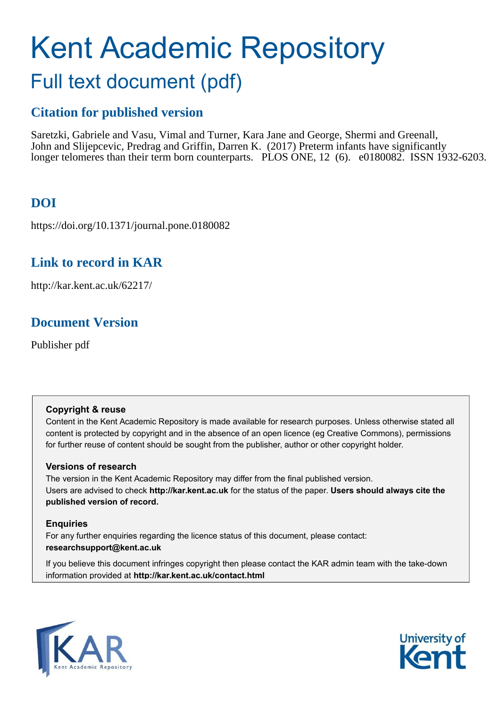# Kent Academic Repository Full text document (pdf)

# **Citation for published version**

Saretzki, Gabriele and Vasu, Vimal and Turner, Kara Jane and George, Shermi and Greenall, John and Slijepcevic, Predrag and Griffin, Darren K. (2017) Preterm infants have significantly longer telomeres than their term born counterparts. PLOS ONE, 12 (6). e0180082. ISSN 1932-6203.

# **DOI**

https://doi.org/10.1371/journal.pone.0180082

# **Link to record in KAR**

http://kar.kent.ac.uk/62217/

# **Document Version**

Publisher pdf

#### **Copyright & reuse**

Content in the Kent Academic Repository is made available for research purposes. Unless otherwise stated all content is protected by copyright and in the absence of an open licence (eg Creative Commons), permissions for further reuse of content should be sought from the publisher, author or other copyright holder.

#### **Versions of research**

The version in the Kent Academic Repository may differ from the final published version. Users are advised to check **http://kar.kent.ac.uk** for the status of the paper. **Users should always cite the published version of record.**

#### **Enquiries**

For any further enquiries regarding the licence status of this document, please contact: **researchsupport@kent.ac.uk**

If you believe this document infringes copyright then please contact the KAR admin team with the take-down information provided at **http://kar.kent.ac.uk/contact.html**



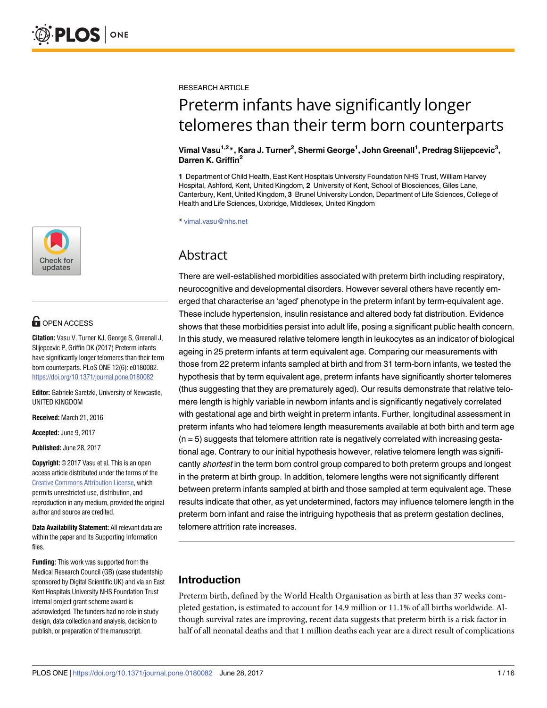

# **G** OPEN ACCESS

**Citation:** Vasu V, Turner KJ, George S, Greenall J, Slijepcevic P, Griffin DK (2017) Preterm infants have significantly longer telomeres than their term born counterparts. PLoS ONE 12(6): e0180082. <https://doi.org/10.1371/journal.pone.0180082>

**Editor:** Gabriele Saretzki, University of Newcastle, UNITED KINGDOM

**Received:** March 21, 2016

**Accepted:** June 9, 2017

**Published:** June 28, 2017

**Copyright:** © 2017 Vasu et al. This is an open access article distributed under the terms of the [Creative Commons Attribution License,](http://creativecommons.org/licenses/by/4.0/) which permits unrestricted use, distribution, and reproduction in any medium, provided the original author and source are credited.

**Data Availability Statement:** All relevant data are within the paper and its Supporting Information files.

**Funding:** This work was supported from the Medical Research Council (GB) (case studentship sponsored by Digital Scientific UK) and via an East Kent Hospitals University NHS Foundation Trust internal project grant scheme award is acknowledged. The funders had no role in study design, data collection and analysis, decision to publish, or preparation of the manuscript.

<span id="page-1-0"></span>RESEARCH ARTICLE

# Preterm infants have significantly longer telomeres than their term born counterparts

#### **Vimal Vasu1,2\*, Kara J. Turner<sup>2</sup> , Shermi George<sup>1</sup> , John Greenall<sup>1</sup> , Predrag Slijepcevic<sup>3</sup> , Darren K. Griffin<sup>2</sup>**

**1** Department of Child Health, East Kent Hospitals University Foundation NHS Trust, William Harvey Hospital, Ashford, Kent, United Kingdom, **2** University of Kent, School of Biosciences, Giles Lane, Canterbury, Kent, United Kingdom, **3** Brunel University London, Department of Life Sciences, College of Health and Life Sciences, Uxbridge, Middlesex, United Kingdom

\* vimal.vasu@nhs.net

## Abstract

There are well-established morbidities associated with preterm birth including respiratory, neurocognitive and developmental disorders. However several others have recently emerged that characterise an 'aged' phenotype in the preterm infant by term-equivalent age. These include hypertension, insulin resistance and altered body fat distribution. Evidence shows that these morbidities persist into adult life, posing a significant public health concern. In this study, we measured relative telomere length in leukocytes as an indicator of biological ageing in 25 preterm infants at term equivalent age. Comparing our measurements with those from 22 preterm infants sampled at birth and from 31 term-born infants, we tested the hypothesis that by term equivalent age, preterm infants have significantly shorter telomeres (thus suggesting that they are prematurely aged). Our results demonstrate that relative telomere length is highly variable in newborn infants and is significantly negatively correlated with gestational age and birth weight in preterm infants. Further, longitudinal assessment in preterm infants who had telomere length measurements available at both birth and term age  $(n = 5)$  suggests that telomere attrition rate is negatively correlated with increasing gestational age. Contrary to our initial hypothesis however, relative telomere length was significantly *shortest* in the term born control group compared to both preterm groups and longest in the preterm at birth group. In addition, telomere lengths were not significantly different between preterm infants sampled at birth and those sampled at term equivalent age. These results indicate that other, as yet undetermined, factors may influence telomere length in the preterm born infant and raise the intriguing hypothesis that as preterm gestation declines, telomere attrition rate increases.

### **Introduction**

Preterm birth, defined by the World Health Organisation as birth at less than 37 weeks completed gestation, is estimated to account for 14.9 million or 11.1% of all births worldwide. Although survival rates are improving, recent data suggests that preterm birth is a risk factor in half of all neonatal deaths and that 1 million deaths each year are a direct result of complications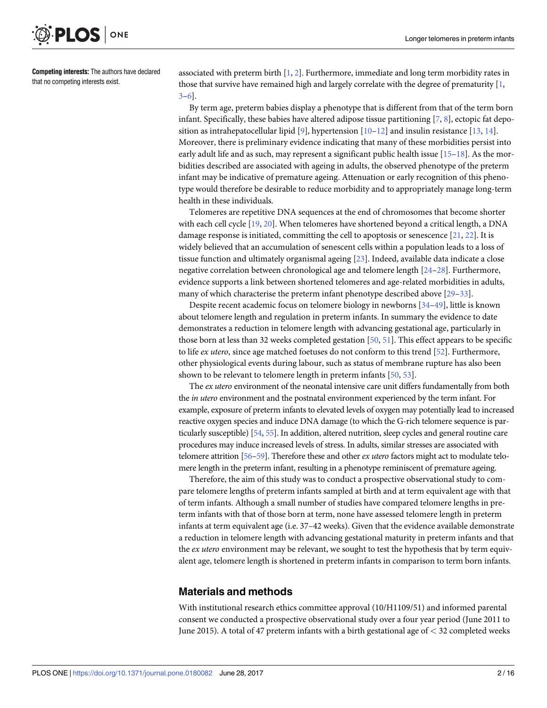<span id="page-2-0"></span>

**Competing interests:** The authors have declared that no competing interests exist.

associated with preterm birth [[1](#page-11-0), [2](#page-11-0)]. Furthermore, immediate and long term morbidity rates in those that survive have remained high and largely correlate with the degree of prematurity  $[1,$ [3–6\]](#page-11-0).

By term age, preterm babies display a phenotype that is different from that of the term born infant. Specifically, these babies have altered adipose tissue partitioning [[7](#page-11-0), [8\]](#page-11-0), ectopic fat depo-sition as intrahepatocellular lipid [\[9](#page-11-0)], hypertension  $[10-12]$  and insulin resistance  $[13, 14]$  $[13, 14]$  $[13, 14]$  $[13, 14]$  $[13, 14]$ . Moreover, there is preliminary evidence indicating that many of these morbidities persist into early adult life and as such, may represent a significant public health issue [\[15–18](#page-11-0)]. As the morbidities described are associated with ageing in adults, the observed phenotype of the preterm infant may be indicative of premature ageing. Attenuation or early recognition of this phenotype would therefore be desirable to reduce morbidity and to appropriately manage long-term health in these individuals.

Telomeres are repetitive DNA sequences at the end of chromosomes that become shorter with each cell cycle [\[19,](#page-11-0) [20\]](#page-11-0). When telomeres have shortened beyond a critical length, a DNA damage response is initiated, committing the cell to apoptosis or senescence  $[21, 22]$  $[21, 22]$  $[21, 22]$  $[21, 22]$  $[21, 22]$ . It is widely believed that an accumulation of senescent cells within a population leads to a loss of tissue function and ultimately organismal ageing [[23](#page-12-0)]. Indeed, available data indicate a close negative correlation between chronological age and telomere length [[24–28\]](#page-12-0). Furthermore, evidence supports a link between shortened telomeres and age-related morbidities in adults, many of which characterise the preterm infant phenotype described above [\[29–33](#page-12-0)].

Despite recent academic focus on telomere biology in newborns [[34](#page-12-0)–[49](#page-13-0)], little is known about telomere length and regulation in preterm infants. In summary the evidence to date demonstrates a reduction in telomere length with advancing gestational age, particularly in those born at less than 32 weeks completed gestation  $[50, 51]$  $[50, 51]$  $[50, 51]$ . This effect appears to be specific to life ex utero, since age matched foetuses do not conform to this trend [[52](#page-13-0)]. Furthermore, other physiological events during labour, such as status of membrane rupture has also been shown to be relevant to telomere length in preterm infants [\[50,](#page-13-0) [53\]](#page-13-0).

The ex utero environment of the neonatal intensive care unit differs fundamentally from both the in utero environment and the postnatal environment experienced by the term infant. For example, exposure of preterm infants to elevated levels of oxygen may potentially lead to increased reactive oxygen species and induce DNA damage (to which the G-rich telomere sequence is particularly susceptible) [\[54](#page-13-0), [55\]](#page-13-0). In addition, altered nutrition, sleep cycles and general routine care procedures may induce increased levels of stress. In adults, similar stresses are associated with telomere attrition [\[56–59](#page-13-0)]. Therefore these and other ex utero factors might act to modulate telomere length in the preterm infant, resulting in a phenotype reminiscent of premature ageing.

Therefore, the aim of this study was to conduct a prospective observational study to compare telomere lengths of preterm infants sampled at birth and at term equivalent age with that of term infants. Although a small number of studies have compared telomere lengths in preterm infants with that of those born at term, none have assessed telomere length in preterm infants at term equivalent age (i.e. 37–42 weeks). Given that the evidence available demonstrate a reduction in telomere length with advancing gestational maturity in preterm infants and that the *ex utero* environment may be relevant, we sought to test the hypothesis that by term equivalent age, telomere length is shortened in preterm infants in comparison to term born infants.

#### **Materials and methods**

With institutional research ethics committee approval (10/H1109/51) and informed parental consent we conducted a prospective observational study over a four year period (June 2011 to June 2015). A total of 47 preterm infants with a birth gestational age of *<* 32 completed weeks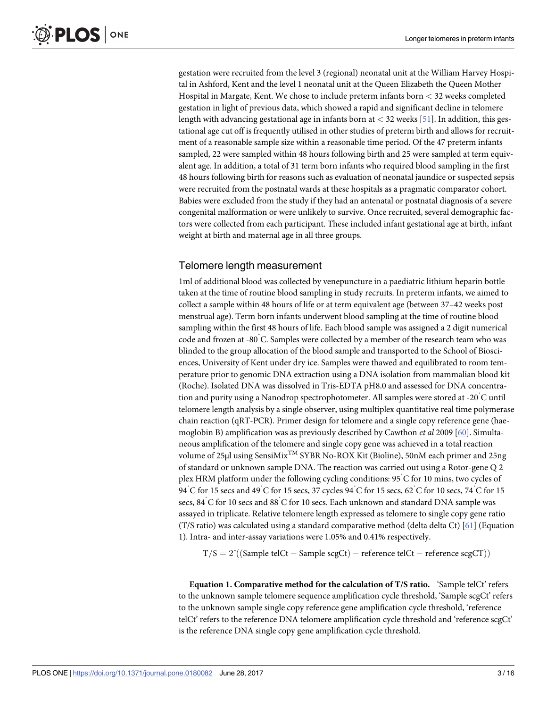<span id="page-3-0"></span>gestation were recruited from the level 3 (regional) neonatal unit at the William Harvey Hospital in Ashford, Kent and the level 1 neonatal unit at the Queen Elizabeth the Queen Mother Hospital in Margate, Kent. We chose to include preterm infants born *<* 32 weeks completed gestation in light of previous data, which showed a rapid and significant decline in telomere length with advancing gestational age in infants born at *<* 32 weeks [\[51\]](#page-13-0). In addition, this gestational age cut off is frequently utilised in other studies of preterm birth and allows for recruitment of a reasonable sample size within a reasonable time period. Of the 47 preterm infants sampled, 22 were sampled within 48 hours following birth and 25 were sampled at term equivalent age. In addition, a total of 31 term born infants who required blood sampling in the first 48 hours following birth for reasons such as evaluation of neonatal jaundice or suspected sepsis were recruited from the postnatal wards at these hospitals as a pragmatic comparator cohort. Babies were excluded from the study if they had an antenatal or postnatal diagnosis of a severe congenital malformation or were unlikely to survive. Once recruited, several demographic factors were collected from each participant. These included infant gestational age at birth, infant weight at birth and maternal age in all three groups.

#### Telomere length measurement

1ml of additional blood was collected by venepuncture in a paediatric lithium heparin bottle taken at the time of routine blood sampling in study recruits. In preterm infants, we aimed to collect a sample within 48 hours of life or at term equivalent age (between 37–42 weeks post menstrual age). Term born infants underwent blood sampling at the time of routine blood sampling within the first 48 hours of life. Each blood sample was assigned a 2 digit numerical code and frozen at -80˚C. Samples were collected by a member of the research team who was blinded to the group allocation of the blood sample and transported to the School of Biosciences, University of Kent under dry ice. Samples were thawed and equilibrated to room temperature prior to genomic DNA extraction using a DNA isolation from mammalian blood kit (Roche). Isolated DNA was dissolved in Tris-EDTA pH8.0 and assessed for DNA concentration and purity using a Nanodrop spectrophotometer. All samples were stored at -20˚C until telomere length analysis by a single observer, using multiplex quantitative real time polymerase chain reaction (qRT-PCR). Primer design for telomere and a single copy reference gene (hae-moglobin B) amplification was as previously described by Cawthon et al 2009 [[60](#page-13-0)]. Simultaneous amplification of the telomere and single copy gene was achieved in a total reaction volume of 25μl using SensiMix<sup>TM</sup> SYBR No-ROX Kit (Bioline), 50nM each primer and 25ng of standard or unknown sample DNA. The reaction was carried out using a Rotor-gene Q 2 plex HRM platform under the following cycling conditions: 95˚C for 10 mins, two cycles of 94 C for 15 secs and 49 C for 15 secs, 37 cycles 94 C for 15 secs, 62 C for 10 secs, 74 C for 15 secs, 84˚C for 10 secs and 88˚C for 10 secs. Each unknown and standard DNA sample was assayed in triplicate. Relative telomere length expressed as telomere to single copy gene ratio (T/S ratio) was calculated using a standard comparative method (delta delta Ct) [[61](#page-13-0)] (Equation 1). Intra- and inter-assay variations were 1.05% and 0.41% respectively.

 $T/S = 2^{\gamma}((Sample \, telCt - Sample \, segCt) - reference \, telCt - reference \, segCT))$ 

**Equation 1. Comparative method for the calculation of T/S ratio.** 'Sample telCt' refers to the unknown sample telomere sequence amplification cycle threshold, 'Sample scgCt' refers to the unknown sample single copy reference gene amplification cycle threshold, 'reference telCt' refers to the reference DNA telomere amplification cycle threshold and 'reference scgCt' is the reference DNA single copy gene amplification cycle threshold.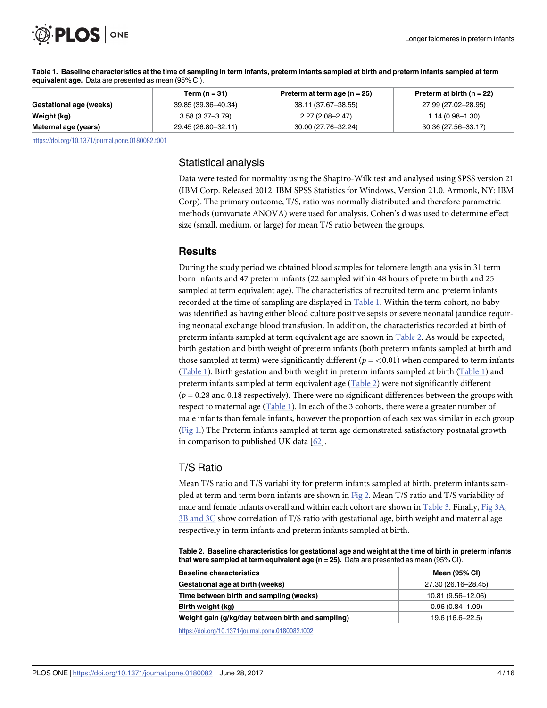<span id="page-4-0"></span>

|                         | Term (n = $31$ )    | Preterm at term age $(n = 25)$ | Preterm at birth ( $n = 22$ ) |
|-------------------------|---------------------|--------------------------------|-------------------------------|
| Gestational age (weeks) | 39.85 (39.36-40.34) | 38.11 (37.67-38.55)            | 27.99 (27.02–28.95)           |
| Weight (kg)             | $3.58(3.37 - 3.79)$ | $2.27(2.08 - 2.47)$            | $1.14(0.98 - 1.30)$           |
| Maternal age (years)    | 29.45 (26.80–32.11) | 30.00 (27.76-32.24)            | 30.36 (27.56-33.17)           |

**[Table 1.](#page-3-0) Baseline characteristics at the time of sampling in term infants, preterm infants sampled at birth and preterm infants sampled at term equivalent age.** Data are presented as mean (95% CI).

<https://doi.org/10.1371/journal.pone.0180082.t001>

#### Statistical analysis

Data were tested for normality using the Shapiro-Wilk test and analysed using SPSS version 21 (IBM Corp. Released 2012. IBM SPSS Statistics for Windows, Version 21.0. Armonk, NY: IBM Corp). The primary outcome, T/S, ratio was normally distributed and therefore parametric methods (univariate ANOVA) were used for analysis. Cohen's d was used to determine effect size (small, medium, or large) for mean T/S ratio between the groups.

#### **Results**

During the study period we obtained blood samples for telomere length analysis in 31 term born infants and 47 preterm infants (22 sampled within 48 hours of preterm birth and 25 sampled at term equivalent age). The characteristics of recruited term and preterm infants recorded at the time of sampling are displayed in [Table 1](#page-3-0). Within the term cohort, no baby was identified as having either blood culture positive sepsis or severe neonatal jaundice requiring neonatal exchange blood transfusion. In addition, the characteristics recorded at birth of preterm infants sampled at term equivalent age are shown in [Table 2.](#page-3-0) As would be expected, birth gestation and birth weight of preterm infants (both preterm infants sampled at birth and those sampled at term) were significantly different ( $p = < 0.01$ ) when compared to term infants [\(Table 1\)](#page-3-0). Birth gestation and birth weight in preterm infants sampled at birth [\(Table 1](#page-3-0)) and preterm infants sampled at term equivalent age ([Table 2\)](#page-3-0) were not significantly different  $(p = 0.28$  and 0.18 respectively). There were no significant differences between the groups with respect to maternal age  $(Table 1)$ . In each of the 3 cohorts, there were a greater number of male infants than female infants, however the proportion of each sex was similar in each group (Fig 1.) The Preterm infants sampled at term age demonstrated satisfactory postnatal growth in comparison to published UK data  $[62]$ .

#### T/S Ratio

Mean T/S ratio and T/S variability for preterm infants sampled at birth, preterm infants sampled at term and term born infants are shown in [Fig 2.](#page-5-0) Mean T/S ratio and T/S variability of male and female infants overall and within each cohort are shown in [Table 3.](#page-5-0) Finally, [Fig 3A,](#page-6-0) [3B and 3C](#page-6-0) show correlation of T/S ratio with gestational age, birth weight and maternal age respectively in term infants and preterm infants sampled at birth.

**[Table 2.](#page-3-0) Baseline characteristics for gestational age and weight at the time of birth in preterm infants that were sampled at term equivalent age (n = 25).** Data are presented as mean (95% CI).

| <b>Mean (95% CI)</b> |
|----------------------|
| 27.30 (26.16-28.45)  |
| 10.81 (9.56-12.06)   |
| $0.96(0.84 - 1.09)$  |
| 19.6 (16.6–22.5)     |
|                      |

<https://doi.org/10.1371/journal.pone.0180082.t002>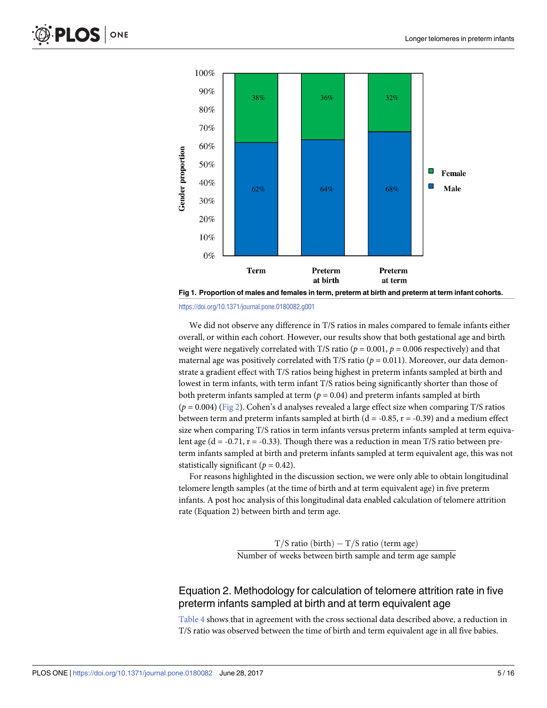<span id="page-5-0"></span>



We did not observe any difference in T/S ratios in males compared to female infants either overall, or within each cohort. However, our results show that both gestational age and birth weight were negatively correlated with T/S ratio ( $p = 0.001$ ,  $p = 0.006$  respectively) and that maternal age was positively correlated with T/S ratio ( $p = 0.011$ ). Moreover, our data demonstrate a gradient effect with T/S ratios being highest in preterm infants sampled at birth and lowest in term infants, with term infant T/S ratios being significantly shorter than those of both preterm infants sampled at term ( $p = 0.04$ ) and preterm infants sampled at birth  $(p = 0.004)$  (Fig 2). Cohen's d analyses revealed a large effect size when comparing T/S ratios between term and preterm infants sampled at birth ( $d = -0.85$ ,  $r = -0.39$ ) and a medium effect size when comparing T/S ratios in term infants versus preterm infants sampled at term equivalent age ( $d = -0.71$ ,  $r = -0.33$ ). Though there was a reduction in mean T/S ratio between preterm infants sampled at birth and preterm infants sampled at term equivalent age, this was not statistically significant ( $p = 0.42$ ).

For reasons highlighted in the discussion section, we were only able to obtain longitudinal telomere length samples (at the time of birth and at term equivalent age) in five preterm infants. A post hoc analysis of this longitudinal data enabled calculation of telomere attrition rate (Equation 2) between birth and term age.

> T/S ratio (birth) – T/S ratio (term age) Number of weeks between birth sample and term age sample

#### Equation 2. Methodology for calculation of telomere attrition rate in five preterm infants sampled at birth and at term equivalent age

[Table 4](#page-6-0) shows that in agreement with the cross sectional data described above, a reduction in T/S ratio was observed between the time of birth and term equivalent age in all five babies.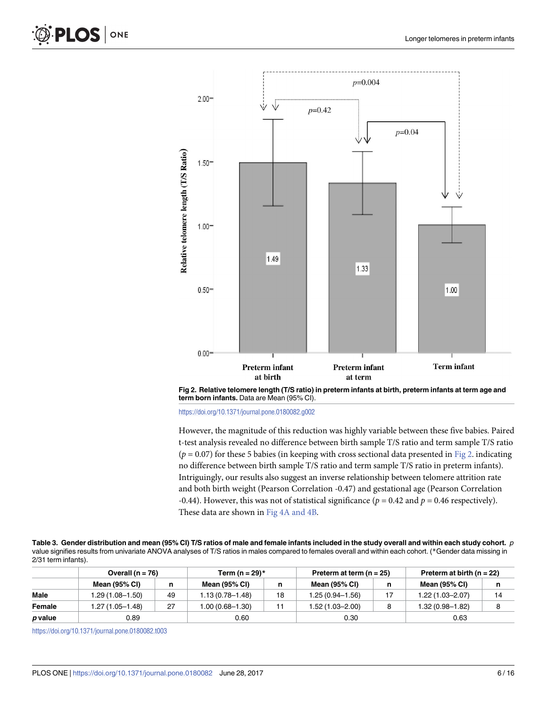<span id="page-6-0"></span>

**[Fig 2. R](#page-3-0)elative telomere length (T/S ratio) in preterm infants at birth, preterm infants at term age and term born infants.** Data are Mean (95% CI).

<https://doi.org/10.1371/journal.pone.0180082.g002>

However, the magnitude of this reduction was highly variable between these five babies. Paired t-test analysis revealed no difference between birth sample T/S ratio and term sample T/S ratio ( $p = 0.07$ ) for these 5 babies (in keeping with cross sectional data presented in [Fig 2](#page-5-0). indicating no difference between birth sample T/S ratio and term sample T/S ratio in preterm infants). Intriguingly, our results also suggest an inverse relationship between telomere attrition rate and both birth weight (Pearson Correlation -0.47) and gestational age (Pearson Correlation -0.44). However, this was not of statistical significance ( $p = 0.42$  and  $p = 0.46$  respectively). These data are shown in [Fig 4A and 4B.](#page-7-0)

**[Table 3.](#page-3-0) Gender distribution and mean (95% CI) T/S ratios of male and female infants included in the study overall and within each study cohort.** p value signifies results from univariate ANOVA analyses of T/S ratios in males compared to females overall and within each cohort. (\*Gender data missing in 2/31 term infants).

|         | Overall ( $n = 76$ ) |    | Term (n = 29) $*$     |    | Preterm at term $(n = 25)$ |    | Preterm at birth ( $n = 22$ ) |    |
|---------|----------------------|----|-----------------------|----|----------------------------|----|-------------------------------|----|
|         | Mean (95% CI)        |    | Mean (95% CI)         | n  | Mean (95% CI)              |    | <b>Mean (95% CI)</b>          | n  |
| Male    | i.29 (1.08–1.50)     | 49 | 1.13 (0.78-1.48)      | 18 | 1.25 (0.94–1.56)           | 17 | 1.22 (1.03–2.07)              | 14 |
| Female  | 1.27 (1.05–1.48)     | 27 | :00 (0.68–1.30) 00. ا |    | 1.52 (1.03–2.00)           |    | 1.32 (0.98–1.82)              |    |
| p value | 0.89                 |    | 0.60                  |    | 0.30                       |    | 0.63                          |    |

<https://doi.org/10.1371/journal.pone.0180082.t003>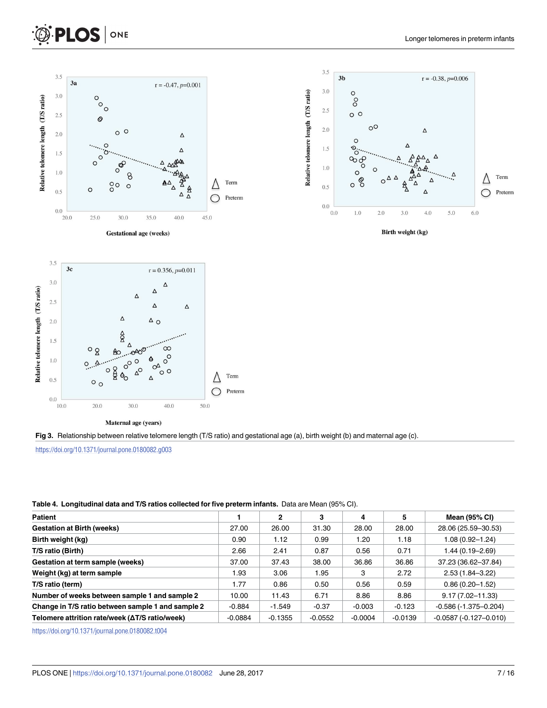<span id="page-7-0"></span>



40.0

Δ

30.0

Maternal age (years)

|           | 2         | 3         | 4         | 5         | <b>Mean (95% CI)</b>    |
|-----------|-----------|-----------|-----------|-----------|-------------------------|
| 27.00     | 26.00     | 31.30     | 28.00     | 28.00     | 28.06 (25.59-30.53)     |
| 0.90      | 1.12      | 0.99      | 1.20      | 1.18      | $1.08(0.92 - 1.24)$     |
| 2.66      | 2.41      | 0.87      | 0.56      | 0.71      | $1.44(0.19 - 2.69)$     |
| 37.00     | 37.43     | 38.00     | 36.86     | 36.86     | 37.23 (36.62-37.84)     |
| 1.93      | 3.06      | 1.95      | 3         | 2.72      | $2.53(1.84 - 3.22)$     |
| 1.77      | 0.86      | 0.50      | 0.56      | 0.59      | $0.86(0.20-1.52)$       |
| 10.00     | 11.43     | 6.71      | 8.86      | 8.86      | $9.17(7.02 - 11.33)$    |
| $-0.884$  | $-1.549$  | $-0.37$   | $-0.003$  | $-0.123$  | $-0.586(-1.375-0.204)$  |
| $-0.0884$ | $-0.1355$ | $-0.0552$ | $-0.0004$ | $-0.0139$ | $-0.0587(-0.127-0.010)$ |
|           |           |           |           |           |                         |

**[Table 4.](#page-4-0) Longitudinal data and T/S ratios collected for five preterm infants.** Data are Mean (95% CI).

[Fig 3.](#page-3-0) Relationship between relative telomere length (T/S ratio) and gestational age (a), birth weight (b) and maternal age (c).

Preterm

Δ

◯

50.0

<https://doi.org/10.1371/journal.pone.0180082.t004>

<https://doi.org/10.1371/journal.pone.0180082.g003>

 $\circ$   $\circ$ 

20.0

 $0.5$ 

 $0.0$ 10.0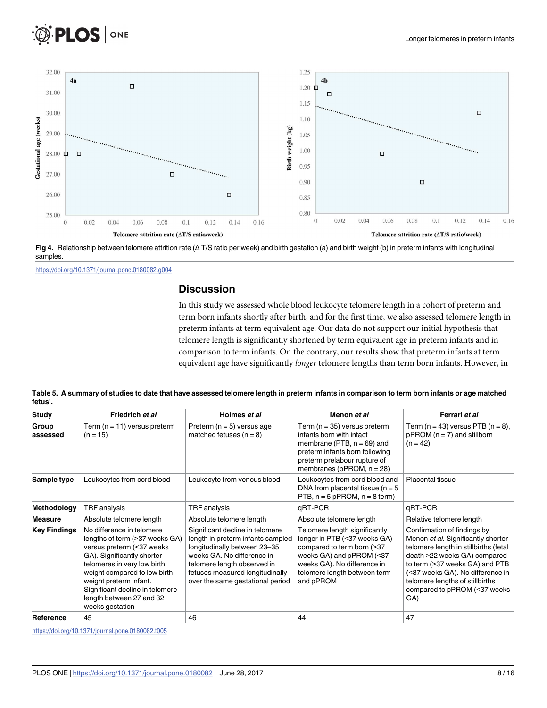<span id="page-8-0"></span>



**[Fig 4.](#page-5-0)** Relationship between telomere attrition rate ( $\Delta T/S$  ratio per week) and birth gestation (a) and birth weight (b) in preterm infants with longitudinal samples.

<https://doi.org/10.1371/journal.pone.0180082.g004>

#### **Discussion**

In this study we assessed whole blood leukocyte telomere length in a cohort of preterm and term born infants shortly after birth, and for the first time, we also assessed telomere length in preterm infants at term equivalent age. Our data do not support our initial hypothesis that telomere length is significantly shortened by term equivalent age in preterm infants and in comparison to term infants. On the contrary, our results show that preterm infants at term equivalent age have significantly longer telomere lengths than term born infants. However, in

**Table 5. A summary of studies to date that have assessed telomere length in preterm infants in comparison to term born infants or age matched fetus'.**

| Study               | Friedrich et al                                                                                                                                                                                                                                                                                   | Holmes et al                                                                                                                                                                                                                             | Menon et al                                                                                                                                                                                         | Ferrari et al                                                                                                                                                                                                                                                                              |
|---------------------|---------------------------------------------------------------------------------------------------------------------------------------------------------------------------------------------------------------------------------------------------------------------------------------------------|------------------------------------------------------------------------------------------------------------------------------------------------------------------------------------------------------------------------------------------|-----------------------------------------------------------------------------------------------------------------------------------------------------------------------------------------------------|--------------------------------------------------------------------------------------------------------------------------------------------------------------------------------------------------------------------------------------------------------------------------------------------|
| Group<br>assessed   | Term (n = 11) versus preterm<br>$(n = 15)$                                                                                                                                                                                                                                                        | Preterm ( $n = 5$ ) versus age<br>matched fetuses $(n = 8)$                                                                                                                                                                              | Term ( $n = 35$ ) versus preterm<br>infants born with intact<br>membrane (PTB, $n = 69$ ) and<br>preterm infants born following<br>preterm prelabour rupture of<br>membranes (pPROM, $n = 28$ )     | Term ( $n = 43$ ) versus PTB ( $n = 8$ ),<br>$p$ PROM ( $n = 7$ ) and stillborn<br>$(n = 42)$                                                                                                                                                                                              |
| Sample type         | Leukocytes from cord blood                                                                                                                                                                                                                                                                        | Leukocyte from venous blood                                                                                                                                                                                                              | Leukocytes from cord blood and<br>DNA from placental tissue ( $n = 5$<br>PTB, $n = 5$ pPROM, $n = 8$ term)                                                                                          | Placental tissue                                                                                                                                                                                                                                                                           |
| Methodology         | TRF analysis                                                                                                                                                                                                                                                                                      | TRF analysis                                                                                                                                                                                                                             | qRT-PCR                                                                                                                                                                                             | qRT-PCR                                                                                                                                                                                                                                                                                    |
| <b>Measure</b>      | Absolute telomere length                                                                                                                                                                                                                                                                          | Absolute telomere length                                                                                                                                                                                                                 | Absolute telomere length                                                                                                                                                                            | Relative telomere length                                                                                                                                                                                                                                                                   |
| <b>Key Findings</b> | No difference in telomere<br>lengths of term (>37 weeks GA)<br>versus preterm (<37 weeks<br>GA). Significantly shorter<br>telomeres in very low birth<br>weight compared to low birth<br>weight preterm infant.<br>Significant decline in telomere<br>length between 27 and 32<br>weeks gestation | Significant decline in telomere<br>length in preterm infants sampled<br>longitudinally between 23-35<br>weeks GA. No difference in<br>telomere length observed in<br>fetuses measured longitudinally<br>over the same gestational period | Telomere length significantly<br>longer in PTB (<37 weeks GA)<br>compared to term born (>37<br>weeks GA) and pPROM (<37<br>weeks GA). No difference in<br>telomere length between term<br>and pPROM | Confirmation of findings by<br>Menon et al. Significantly shorter<br>telomere length in stillbirths (fetal<br>death >22 weeks GA) compared<br>to term (>37 weeks GA) and PTB<br>(<37 weeks GA). No difference in<br>telomere lengths of stillbirths<br>compared to pPROM (<37 weeks<br>GA) |
| Reference           | 45                                                                                                                                                                                                                                                                                                | 46                                                                                                                                                                                                                                       | 44                                                                                                                                                                                                  | 47                                                                                                                                                                                                                                                                                         |

<https://doi.org/10.1371/journal.pone.0180082.t005>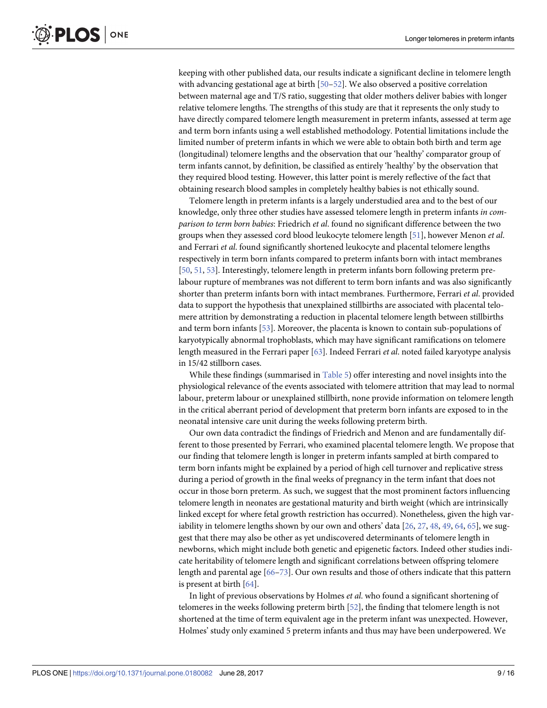<span id="page-9-0"></span>keeping with other published data, our results indicate a significant decline in telomere length with advancing gestational age at birth [[50–52\]](#page-13-0). We also observed a positive correlation between maternal age and T/S ratio, suggesting that older mothers deliver babies with longer relative telomere lengths. The strengths of this study are that it represents the only study to have directly compared telomere length measurement in preterm infants, assessed at term age and term born infants using a well established methodology. Potential limitations include the limited number of preterm infants in which we were able to obtain both birth and term age (longitudinal) telomere lengths and the observation that our 'healthy' comparator group of term infants cannot, by definition, be classified as entirely 'healthy' by the observation that they required blood testing. However, this latter point is merely reflective of the fact that obtaining research blood samples in completely healthy babies is not ethically sound.

Telomere length in preterm infants is a largely understudied area and to the best of our knowledge, only three other studies have assessed telomere length in preterm infants in comparison to term born babies: Friedrich et al. found no significant difference between the two groups when they assessed cord blood leukocyte telomere length [[51](#page-13-0)], however Menon et al. and Ferrari et al. found significantly shortened leukocyte and placental telomere lengths respectively in term born infants compared to preterm infants born with intact membranes [\[50,](#page-13-0) [51,](#page-13-0) [53\]](#page-13-0). Interestingly, telomere length in preterm infants born following preterm prelabour rupture of membranes was not different to term born infants and was also significantly shorter than preterm infants born with intact membranes. Furthermore, Ferrari et al. provided data to support the hypothesis that unexplained stillbirths are associated with placental telomere attrition by demonstrating a reduction in placental telomere length between stillbirths and term born infants [\[53\]](#page-13-0). Moreover, the placenta is known to contain sub-populations of karyotypically abnormal trophoblasts, which may have significant ramifications on telomere length measured in the Ferrari paper  $[63]$  $[63]$  $[63]$ . Indeed Ferrari et al. noted failed karyotype analysis in 15/42 stillborn cases.

While these findings (summarised in [Table 5](#page-7-0)) offer interesting and novel insights into the physiological relevance of the events associated with telomere attrition that may lead to normal labour, preterm labour or unexplained stillbirth, none provide information on telomere length in the critical aberrant period of development that preterm born infants are exposed to in the neonatal intensive care unit during the weeks following preterm birth.

Our own data contradict the findings of Friedrich and Menon and are fundamentally different to those presented by Ferrari, who examined placental telomere length. We propose that our finding that telomere length is longer in preterm infants sampled at birth compared to term born infants might be explained by a period of high cell turnover and replicative stress during a period of growth in the final weeks of pregnancy in the term infant that does not occur in those born preterm. As such, we suggest that the most prominent factors influencing telomere length in neonates are gestational maturity and birth weight (which are intrinsically linked except for where fetal growth restriction has occurred). Nonetheless, given the high variability in telomere lengths shown by our own and others' data  $[26, 27, 48, 49, 64, 65]$  $[26, 27, 48, 49, 64, 65]$  $[26, 27, 48, 49, 64, 65]$  $[26, 27, 48, 49, 64, 65]$  $[26, 27, 48, 49, 64, 65]$  $[26, 27, 48, 49, 64, 65]$  $[26, 27, 48, 49, 64, 65]$  $[26, 27, 48, 49, 64, 65]$  $[26, 27, 48, 49, 64, 65]$  $[26, 27, 48, 49, 64, 65]$  $[26, 27, 48, 49, 64, 65]$ , we suggest that there may also be other as yet undiscovered determinants of telomere length in newborns, which might include both genetic and epigenetic factors. Indeed other studies indicate heritability of telomere length and significant correlations between offspring telomere length and parental age [\[66–](#page-13-0)[73\]](#page-14-0). Our own results and those of others indicate that this pattern is present at birth [[64](#page-13-0)].

In light of previous observations by Holmes et al. who found a significant shortening of telomeres in the weeks following preterm birth [[52](#page-13-0)], the finding that telomere length is not shortened at the time of term equivalent age in the preterm infant was unexpected. However, Holmes' study only examined 5 preterm infants and thus may have been underpowered. We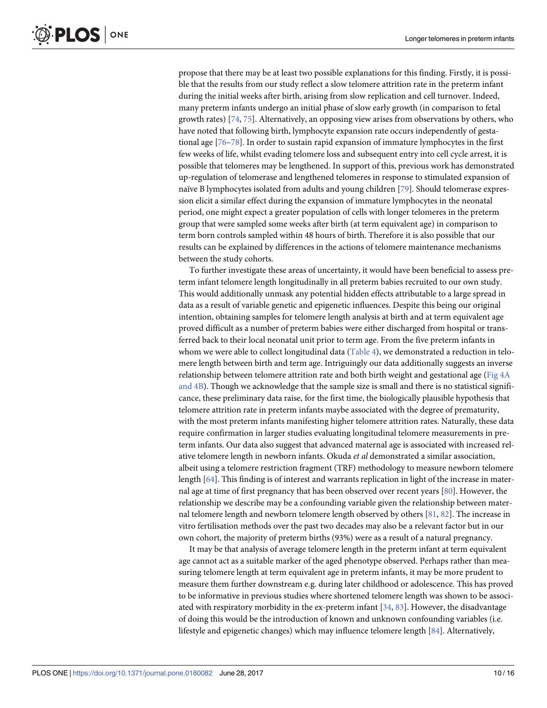<span id="page-10-0"></span>propose that there may be at least two possible explanations for this finding. Firstly, it is possible that the results from our study reflect a slow telomere attrition rate in the preterm infant during the initial weeks after birth, arising from slow replication and cell turnover. Indeed, many preterm infants undergo an initial phase of slow early growth (in comparison to fetal growth rates) [[74](#page-14-0), [75](#page-14-0)]. Alternatively, an opposing view arises from observations by others, who have noted that following birth, lymphocyte expansion rate occurs independently of gestational age [\[76–78](#page-14-0)]. In order to sustain rapid expansion of immature lymphocytes in the first few weeks of life, whilst evading telomere loss and subsequent entry into cell cycle arrest, it is possible that telomeres may be lengthened. In support of this, previous work has demonstrated up-regulation of telomerase and lengthened telomeres in response to stimulated expansion of naïve B lymphocytes isolated from adults and young children [\[79\]](#page-14-0). Should telomerase expression elicit a similar effect during the expansion of immature lymphocytes in the neonatal period, one might expect a greater population of cells with longer telomeres in the preterm group that were sampled some weeks after birth (at term equivalent age) in comparison to term born controls sampled within 48 hours of birth. Therefore it is also possible that our results can be explained by differences in the actions of telomere maintenance mechanisms between the study cohorts.

To further investigate these areas of uncertainty, it would have been beneficial to assess preterm infant telomere length longitudinally in all preterm babies recruited to our own study. This would additionally unmask any potential hidden effects attributable to a large spread in data as a result of variable genetic and epigenetic influences. Despite this being our original intention, obtaining samples for telomere length analysis at birth and at term equivalent age proved difficult as a number of preterm babies were either discharged from hospital or transferred back to their local neonatal unit prior to term age. From the five preterm infants in whom we were able to collect longitudinal data ([Table 4](#page-6-0)), we demonstrated a reduction in telomere length between birth and term age. Intriguingly our data additionally suggests an inverse relationship between telomere attrition rate and both birth weight and gestational age ([Fig 4A](#page-7-0) [and 4B\)](#page-7-0). Though we acknowledge that the sample size is small and there is no statistical significance, these preliminary data raise, for the first time, the biologically plausible hypothesis that telomere attrition rate in preterm infants maybe associated with the degree of prematurity, with the most preterm infants manifesting higher telomere attrition rates. Naturally, these data require confirmation in larger studies evaluating longitudinal telomere measurements in preterm infants. Our data also suggest that advanced maternal age is associated with increased relative telomere length in newborn infants. Okuda et al demonstrated a similar association, albeit using a telomere restriction fragment (TRF) methodology to measure newborn telomere length [[64](#page-13-0)]. This finding is of interest and warrants replication in light of the increase in maternal age at time of first pregnancy that has been observed over recent years [\[80\]](#page-14-0). However, the relationship we describe may be a confounding variable given the relationship between maternal telomere length and newborn telomere length observed by others [\[81,](#page-14-0) [82\]](#page-14-0). The increase in vitro fertilisation methods over the past two decades may also be a relevant factor but in our own cohort, the majority of preterm births (93%) were as a result of a natural pregnancy.

It may be that analysis of average telomere length in the preterm infant at term equivalent age cannot act as a suitable marker of the aged phenotype observed. Perhaps rather than measuring telomere length at term equivalent age in preterm infants, it may be more prudent to measure them further downstream e.g. during later childhood or adolescence. This has proved to be informative in previous studies where shortened telomere length was shown to be associated with respiratory morbidity in the ex-preterm infant  $[34, 83]$  $[34, 83]$  $[34, 83]$  $[34, 83]$  $[34, 83]$ . However, the disadvantage of doing this would be the introduction of known and unknown confounding variables (i.e. lifestyle and epigenetic changes) which may influence telomere length [[84](#page-14-0)]. Alternatively,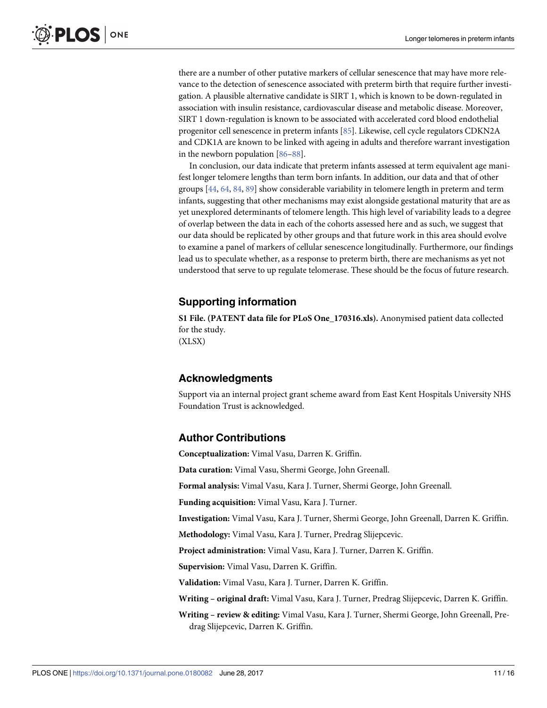<span id="page-11-0"></span>there are a number of other putative markers of cellular senescence that may have more relevance to the detection of senescence associated with preterm birth that require further investigation. A plausible alternative candidate is SIRT 1, which is known to be down-regulated in association with insulin resistance, cardiovascular disease and metabolic disease. Moreover, SIRT 1 down-regulation is known to be associated with accelerated cord blood endothelial progenitor cell senescence in preterm infants [\[85\]](#page-14-0). Likewise, cell cycle regulators CDKN2A and CDK1A are known to be linked with ageing in adults and therefore warrant investigation in the newborn population [\[86](#page-14-0)[–88\]](#page-15-0).

In conclusion, our data indicate that preterm infants assessed at term equivalent age manifest longer telomere lengths than term born infants. In addition, our data and that of other groups [\[44,](#page-12-0) [64,](#page-13-0) [84,](#page-14-0) [89](#page-15-0)] show considerable variability in telomere length in preterm and term infants, suggesting that other mechanisms may exist alongside gestational maturity that are as yet unexplored determinants of telomere length. This high level of variability leads to a degree of overlap between the data in each of the cohorts assessed here and as such, we suggest that our data should be replicated by other groups and that future work in this area should evolve to examine a panel of markers of cellular senescence longitudinally. Furthermore, our findings lead us to speculate whether, as a response to preterm birth, there are mechanisms as yet not understood that serve to up regulate telomerase. These should be the focus of future research.

#### **Supporting information**

**[S1 File.](http://www.plosone.org/article/fetchSingleRepresentation.action?uri=info:doi/10.1371/journal.pone.0180082.s001) (PATENT data file for PLoS One\_170316.xls).** Anonymised patient data collected for the study. (XLSX)

#### **Acknowledgments**

Support via an internal project grant scheme award from East Kent Hospitals University NHS Foundation Trust is acknowledged.

#### **Author Contributions**

**Conceptualization:** Vimal Vasu, Darren K. Griffin. **Data curation:** Vimal Vasu, Shermi George, John Greenall. **Formal analysis:** Vimal Vasu, Kara J. Turner, Shermi George, John Greenall. **Funding acquisition:** Vimal Vasu, Kara J. Turner. **Investigation:** Vimal Vasu, Kara J. Turner, Shermi George, John Greenall, Darren K. Griffin. **Methodology:** Vimal Vasu, Kara J. Turner, Predrag Slijepcevic. **Project administration:** Vimal Vasu, Kara J. Turner, Darren K. Griffin. **Supervision:** Vimal Vasu, Darren K. Griffin. **Validation:** Vimal Vasu, Kara J. Turner, Darren K. Griffin. **Writing – original draft:** Vimal Vasu, Kara J. Turner, Predrag Slijepcevic, Darren K. Griffin. **Writing – review & editing:** Vimal Vasu, Kara J. Turner, Shermi George, John Greenall, Predrag Slijepcevic, Darren K. Griffin.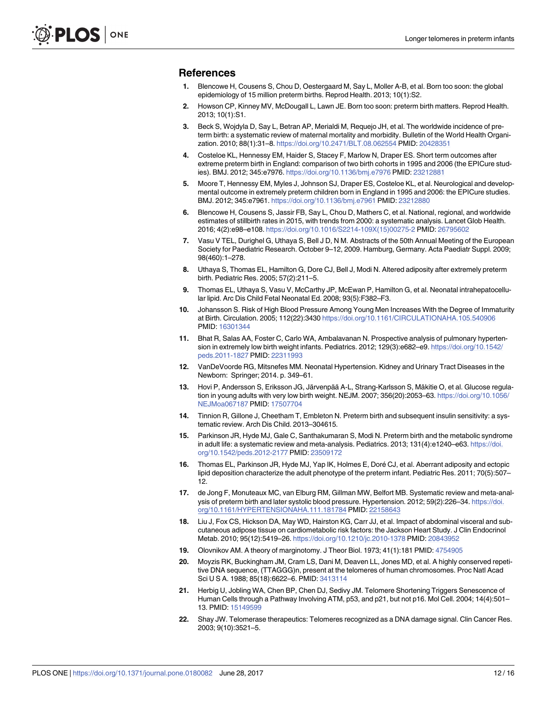#### <span id="page-12-0"></span>**References**

- **[1](#page-1-0).** Blencowe H, Cousens S, Chou D, Oestergaard M, Say L, Moller A-B, et al. Born too soon: the global epidemiology of 15 million preterm births. Reprod Health. 2013; 10(1):S2.
- **[2](#page-1-0).** Howson CP, Kinney MV, McDougall L, Lawn JE. Born too soon: preterm birth matters. Reprod Health. 2013; 10(1):S1.
- **[3](#page-1-0).** Beck S, Wojdyla D, Say L, Betran AP, Merialdi M, Requejo JH, et al. The worldwide incidence of preterm birth: a systematic review of maternal mortality and morbidity. Bulletin of the World Health Organization. 2010; 88(1):31–8. <https://doi.org/10.2471/BLT.08.062554> PMID: [20428351](http://www.ncbi.nlm.nih.gov/pubmed/20428351)
- **4.** Costeloe KL, Hennessy EM, Haider S, Stacey F, Marlow N, Draper ES. Short term outcomes after extreme preterm birth in England: comparison of two birth cohorts in 1995 and 2006 (the EPICure studies). BMJ. 2012; 345:e7976. <https://doi.org/10.1136/bmj.e7976> PMID: [23212881](http://www.ncbi.nlm.nih.gov/pubmed/23212881)
- **5.** Moore T, Hennessy EM, Myles J, Johnson SJ, Draper ES, Costeloe KL, et al. Neurological and developmental outcome in extremely preterm children born in England in 1995 and 2006: the EPICure studies. BMJ. 2012; 345:e7961. <https://doi.org/10.1136/bmj.e7961> PMID: [23212880](http://www.ncbi.nlm.nih.gov/pubmed/23212880)
- **[6](#page-1-0).** Blencowe H, Cousens S, Jassir FB, Say L, Chou D, Mathers C, et al. National, regional, and worldwide estimates of stillbirth rates in 2015, with trends from 2000: a systematic analysis. Lancet Glob Health. 2016; 4(2):e98–e108. [https://doi.org/10.1016/S2214-109X\(15\)00275-2](https://doi.org/10.1016/S2214-109X(15)00275-2) PMID: [26795602](http://www.ncbi.nlm.nih.gov/pubmed/26795602)
- **[7](#page-1-0).** Vasu V TEL, Durighel G, Uthaya S, Bell J D, N M. Abstracts of the 50th Annual Meeting of the European Society for Paediatric Research. October 9–12, 2009. Hamburg, Germany. Acta Paediatr Suppl. 2009; 98(460):1–278.
- **[8](#page-1-0).** Uthaya S, Thomas EL, Hamilton G, Dore CJ, Bell J, Modi N. Altered adiposity after extremely preterm birth. Pediatric Res. 2005; 57(2):211–5.
- **[9](#page-1-0).** Thomas EL, Uthaya S, Vasu V, McCarthy JP, McEwan P, Hamilton G, et al. Neonatal intrahepatocellular lipid. Arc Dis Child Fetal Neonatal Ed. 2008; 93(5):F382–F3.
- **[10](#page-1-0).** Johansson S. Risk of High Blood Pressure Among Young Men Increases With the Degree of Immaturity at Birth. Circulation. 2005; 112(22):3430 <https://doi.org/10.1161/CIRCULATIONAHA.105.540906> PMID: [16301344](http://www.ncbi.nlm.nih.gov/pubmed/16301344)
- **11.** Bhat R, Salas AA, Foster C, Carlo WA, Ambalavanan N. Prospective analysis of pulmonary hypertension in extremely low birth weight infants. Pediatrics. 2012; 129(3):e682–e9. [https://doi.org/10.1542/](https://doi.org/10.1542/peds.2011-1827) [peds.2011-1827](https://doi.org/10.1542/peds.2011-1827) PMID: [22311993](http://www.ncbi.nlm.nih.gov/pubmed/22311993)
- **[12](#page-1-0).** VanDeVoorde RG, Mitsnefes MM. Neonatal Hypertension. Kidney and Urinary Tract Diseases in the Newborn: Springer; 2014. p. 349–61.
- **[13](#page-1-0).** Hovi P, Andersson S, Eriksson JG, Järvenpää A-L, Strang-Karlsson S, Mäkitie O, et al. Glucose regulation in young adults with very low birth weight. NEJM. 2007; 356(20):2053–63. [https://doi.org/10.1056/](https://doi.org/10.1056/NEJMoa067187) [NEJMoa067187](https://doi.org/10.1056/NEJMoa067187) PMID: [17507704](http://www.ncbi.nlm.nih.gov/pubmed/17507704)
- **[14](#page-1-0).** Tinnion R, Gillone J, Cheetham T, Embleton N. Preterm birth and subsequent insulin sensitivity: a systematic review. Arch Dis Child. 2013–304615.
- **[15](#page-1-0).** Parkinson JR, Hyde MJ, Gale C, Santhakumaran S, Modi N. Preterm birth and the metabolic syndrome in adult life: a systematic review and meta-analysis. Pediatrics. 2013; 131(4):e1240–e63. [https://doi.](https://doi.org/10.1542/peds.2012-2177) [org/10.1542/peds.2012-2177](https://doi.org/10.1542/peds.2012-2177) PMID: [23509172](http://www.ncbi.nlm.nih.gov/pubmed/23509172)
- **16.** Thomas EL, Parkinson JR, Hyde MJ, Yap IK, Holmes E, Doré CJ, et al. Aberrant adiposity and ectopic lipid deposition characterize the adult phenotype of the preterm infant. Pediatric Res. 2011; 70(5):507– 12.
- **17.** de Jong F, Monuteaux MC, van Elburg RM, Gillman MW, Belfort MB. Systematic review and meta-analysis of preterm birth and later systolic blood pressure. Hypertension. 2012; 59(2):226-34. [https://doi.](https://doi.org/10.1161/HYPERTENSIONAHA.111.181784) [org/10.1161/HYPERTENSIONAHA.111.181784](https://doi.org/10.1161/HYPERTENSIONAHA.111.181784) PMID: [22158643](http://www.ncbi.nlm.nih.gov/pubmed/22158643)
- **[18](#page-1-0).** Liu J, Fox CS, Hickson DA, May WD, Hairston KG, Carr JJ, et al. Impact of abdominal visceral and subcutaneous adipose tissue on cardiometabolic risk factors: the Jackson Heart Study. J Clin Endocrinol Metab. 2010; 95(12):5419–26. <https://doi.org/10.1210/jc.2010-1378> PMID: [20843952](http://www.ncbi.nlm.nih.gov/pubmed/20843952)
- **[19](#page-1-0).** Olovnikov AM. A theory of marginotomy. J Theor Biol. 1973; 41(1):181 PMID: [4754905](http://www.ncbi.nlm.nih.gov/pubmed/4754905)
- **[20](#page-1-0).** Moyzis RK, Buckingham JM, Cram LS, Dani M, Deaven LL, Jones MD, et al. A highly conserved repetitive DNA sequence, (TTAGGG)n, present at the telomeres of human chromosomes. Proc Natl Acad Sci U S A. 1988; 85(18):6622–6. PMID: [3413114](http://www.ncbi.nlm.nih.gov/pubmed/3413114)
- **[21](#page-1-0).** Herbig U, Jobling WA, Chen BP, Chen DJ, Sedivy JM. Telomere Shortening Triggers Senescence of Human Cells through a Pathway Involving ATM, p53, and p21, but not p16. Mol Cell. 2004; 14(4):501– 13. PMID: [15149599](http://www.ncbi.nlm.nih.gov/pubmed/15149599)
- **[22](#page-1-0).** Shay JW. Telomerase therapeutics: Telomeres recognized as a DNA damage signal. Clin Cancer Res. 2003; 9(10):3521–5.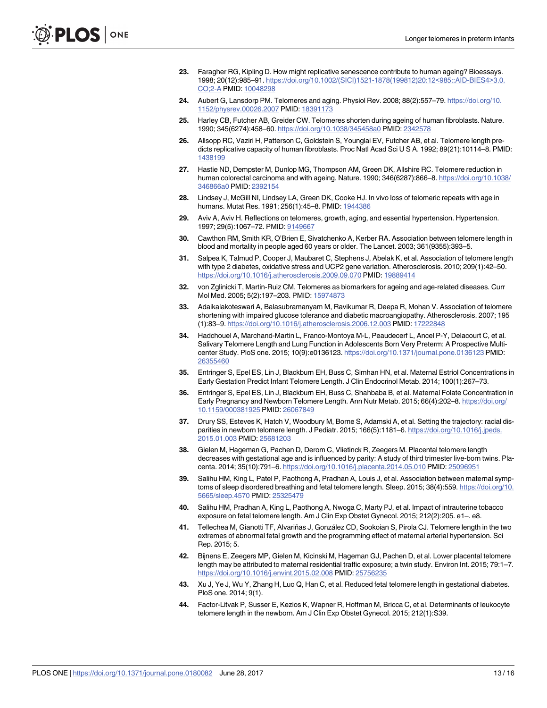- <span id="page-13-0"></span>**[23](#page-1-0).** Faragher RG, Kipling D. How might replicative senescence contribute to human ageing? Bioessays. 1998; 20(12):985–91. [https://doi.org/10.1002/\(SICI\)1521-1878\(199812\)20:12](https://doi.org/10.1002/(SICI)1521-1878(199812)20:12<985::AID-BIES4>3.0.CO;2-A)<985::AID-BIES4>3.0. [CO;2-A](https://doi.org/10.1002/(SICI)1521-1878(199812)20:12<985::AID-BIES4>3.0.CO;2-A) PMID: [10048298](http://www.ncbi.nlm.nih.gov/pubmed/10048298)
- **[24](#page-1-0).** Aubert G, Lansdorp PM. Telomeres and aging. Physiol Rev. 2008; 88(2):557–79. [https://doi.org/10.](https://doi.org/10.1152/physrev.00026.2007) [1152/physrev.00026.2007](https://doi.org/10.1152/physrev.00026.2007) PMID: [18391173](http://www.ncbi.nlm.nih.gov/pubmed/18391173)
- **25.** Harley CB, Futcher AB, Greider CW. Telomeres shorten during ageing of human fibroblasts. Nature. 1990; 345(6274):458–60. <https://doi.org/10.1038/345458a0> PMID: [2342578](http://www.ncbi.nlm.nih.gov/pubmed/2342578)
- **[26](#page-8-0).** Allsopp RC, Vaziri H, Patterson C, Goldstein S, Younglai EV, Futcher AB, et al. Telomere length predicts replicative capacity of human fibroblasts. Proc Natl Acad Sci U S A. 1992; 89(21):10114–8. PMID: [1438199](http://www.ncbi.nlm.nih.gov/pubmed/1438199)
- **[27](#page-8-0).** Hastie ND, Dempster M, Dunlop MG, Thompson AM, Green DK, Allshire RC. Telomere reduction in human colorectal carcinoma and with ageing. Nature. 1990; 346(6287):866-8. [https://doi.org/10.1038/](https://doi.org/10.1038/346866a0) [346866a0](https://doi.org/10.1038/346866a0) PMID: [2392154](http://www.ncbi.nlm.nih.gov/pubmed/2392154)
- **[28](#page-1-0).** Lindsey J, McGill NI, Lindsey LA, Green DK, Cooke HJ. In vivo loss of telomeric repeats with age in humans. Mutat Res. 1991; 256(1): 45-8. PMID: [1944386](http://www.ncbi.nlm.nih.gov/pubmed/1944386)
- **[29](#page-1-0).** Aviv A, Aviv H. Reflections on telomeres, growth, aging, and essential hypertension. Hypertension. 1997; 29(5):1067–72. PMID: [9149667](http://www.ncbi.nlm.nih.gov/pubmed/9149667)
- **30.** Cawthon RM, Smith KR, O'Brien E, Sivatchenko A, Kerber RA. Association between telomere length in blood and mortality in people aged 60 years or older. The Lancet. 2003; 361(9355):393–5.
- **31.** Salpea K, Talmud P, Cooper J, Maubaret C, Stephens J, Abelak K, et al. Association of telomere length with type 2 diabetes, oxidative stress and UCP2 gene variation. Atherosclerosis. 2010; 209(1):42–50. <https://doi.org/10.1016/j.atherosclerosis.2009.09.070> PMID: [19889414](http://www.ncbi.nlm.nih.gov/pubmed/19889414)
- **32.** von Zglinicki T, Martin-Ruiz CM. Telomeres as biomarkers for ageing and age-related diseases. Curr Mol Med. 2005; 5(2):197–203. PMID: [15974873](http://www.ncbi.nlm.nih.gov/pubmed/15974873)
- **[33](#page-1-0).** Adaikalakoteswari A, Balasubramanyam M, Ravikumar R, Deepa R, Mohan V. Association of telomere shortening with impaired glucose tolerance and diabetic macroangiopathy. Atherosclerosis. 2007; 195 (1):83–9. <https://doi.org/10.1016/j.atherosclerosis.2006.12.003> PMID: [17222848](http://www.ncbi.nlm.nih.gov/pubmed/17222848)
- **[34](#page-1-0).** Hadchouel A, Marchand-Martin L, Franco-Montoya M-L, Peaudecerf L, Ancel P-Y, Delacourt C, et al. Salivary Telomere Length and Lung Function in Adolescents Born Very Preterm: A Prospective Multicenter Study. PloS one. 2015; 10(9):e0136123. <https://doi.org/10.1371/journal.pone.0136123> PMID: [26355460](http://www.ncbi.nlm.nih.gov/pubmed/26355460)
- **35.** Entringer S, Epel ES, Lin J, Blackburn EH, Buss C, Simhan HN, et al. Maternal Estriol Concentrations in Early Gestation Predict Infant Telomere Length. J Clin Endocrinol Metab. 2014; 100(1):267–73.
- **36.** Entringer S, Epel ES, Lin J, Blackburn EH, Buss C, Shahbaba B, et al. Maternal Folate Concentration in Early Pregnancy and Newborn Telomere Length. Ann Nutr Metab. 2015; 66(4):202–8. [https://doi.org/](https://doi.org/10.1159/000381925) [10.1159/000381925](https://doi.org/10.1159/000381925) PMID: [26067849](http://www.ncbi.nlm.nih.gov/pubmed/26067849)
- **37.** Drury SS, Esteves K, Hatch V, Woodbury M, Borne S, Adamski A, et al. Setting the trajectory: racial disparities in newborn telomere length. J Pediatr. 2015; 166(5):1181–6. [https://doi.org/10.1016/j.jpeds.](https://doi.org/10.1016/j.jpeds.2015.01.003) [2015.01.003](https://doi.org/10.1016/j.jpeds.2015.01.003) PMID: [25681203](http://www.ncbi.nlm.nih.gov/pubmed/25681203)
- **38.** Gielen M, Hageman G, Pachen D, Derom C, Vlietinck R, Zeegers M. Placental telomere length decreases with gestational age and is influenced by parity: A study of third trimester live-born twins. Placenta. 2014; 35(10):791–6. <https://doi.org/10.1016/j.placenta.2014.05.010> PMID: [25096951](http://www.ncbi.nlm.nih.gov/pubmed/25096951)
- **39.** Salihu HM, King L, Patel P, Paothong A, Pradhan A, Louis J, et al. Association between maternal symptoms of sleep disordered breathing and fetal telomere length. Sleep. 2015; 38(4):559. [https://doi.org/10.](https://doi.org/10.5665/sleep.4570) [5665/sleep.4570](https://doi.org/10.5665/sleep.4570) PMID: [25325479](http://www.ncbi.nlm.nih.gov/pubmed/25325479)
- **40.** Salihu HM, Pradhan A, King L, Paothong A, Nwoga C, Marty PJ, et al. Impact of intrauterine tobacco exposure on fetal telomere length. Am J Clin Exp Obstet Gynecol. 2015; 212(2):205. e1–. e8.
- **41.** Tellechea M, Gianotti TF, Alvariñas J, González CD, Sookoian S, Pirola CJ. Telomere length in the two extremes of abnormal fetal growth and the programming effect of maternal arterial hypertension. Sci Rep. 2015; 5.
- **42.** Bijnens E, Zeegers MP, Gielen M, Kicinski M, Hageman GJ, Pachen D, et al. Lower placental telomere length may be attributed to maternal residential traffic exposure; a twin study. Environ Int. 2015; 79:1–7. <https://doi.org/10.1016/j.envint.2015.02.008> PMID: [25756235](http://www.ncbi.nlm.nih.gov/pubmed/25756235)
- **43.** Xu J, Ye J, Wu Y, Zhang H, Luo Q, Han C, et al. Reduced fetal telomere length in gestational diabetes. PloS one. 2014; 9(1).
- **[44](#page-10-0).** Factor-Litvak P, Susser E, Kezios K, Wapner R, Hoffman M, Bricca C, et al. Determinants of leukocyte telomere length in the newborn. Am J Clin Exp Obstet Gynecol. 2015; 212(1):S39.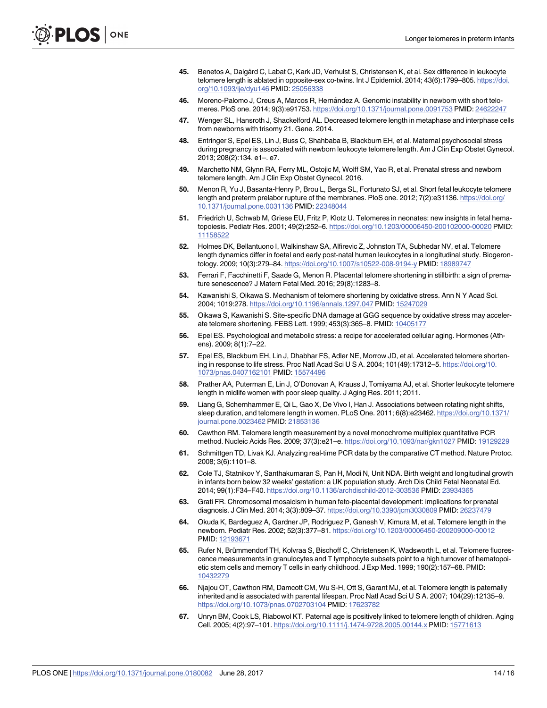- <span id="page-14-0"></span>**45.** Benetos A, Dalgård C, Labat C, Kark JD, Verhulst S, Christensen K, et al. Sex difference in leukocyte telomere length is ablated in opposite-sex co-twins. Int J Epidemiol. 2014; 43(6):1799–805. [https://doi.](https://doi.org/10.1093/ije/dyu146) [org/10.1093/ije/dyu146](https://doi.org/10.1093/ije/dyu146) PMID: [25056338](http://www.ncbi.nlm.nih.gov/pubmed/25056338)
- **46.** Moreno-Palomo J, Creus A, Marcos R, Hernández A. Genomic instability in newborn with short telomeres. PloS one. 2014; 9(3):e91753. <https://doi.org/10.1371/journal.pone.0091753> PMID: [24622247](http://www.ncbi.nlm.nih.gov/pubmed/24622247)
- **47.** Wenger SL, Hansroth J, Shackelford AL. Decreased telomere length in metaphase and interphase cells from newborns with trisomy 21. Gene. 2014.
- **[48](#page-8-0).** Entringer S, Epel ES, Lin J, Buss C, Shahbaba B, Blackburn EH, et al. Maternal psychosocial stress during pregnancy is associated with newborn leukocyte telomere length. Am J Clin Exp Obstet Gynecol. 2013; 208(2):134. e1–. e7.
- **[49](#page-1-0).** Marchetto NM, Glynn RA, Ferry ML, Ostojic M, Wolff SM, Yao R, et al. Prenatal stress and newborn telomere length. Am J Clin Exp Obstet Gynecol. 2016.
- **[50](#page-1-0).** Menon R, Yu J, Basanta-Henry P, Brou L, Berga SL, Fortunato SJ, et al. Short fetal leukocyte telomere length and preterm prelabor rupture of the membranes. PloS one. 2012; 7(2):e31136. [https://doi.org/](https://doi.org/10.1371/journal.pone.0031136) [10.1371/journal.pone.0031136](https://doi.org/10.1371/journal.pone.0031136) PMID: [22348044](http://www.ncbi.nlm.nih.gov/pubmed/22348044)
- **[51](#page-1-0).** Friedrich U, Schwab M, Griese EU, Fritz P, Klotz U. Telomeres in neonates: new insights in fetal hematopoiesis. Pediatr Res. 2001; 49(2):252–6. <https://doi.org/10.1203/00006450-200102000-00020> PMID: [11158522](http://www.ncbi.nlm.nih.gov/pubmed/11158522)
- **[52](#page-1-0).** Holmes DK, Bellantuono I, Walkinshaw SA, Alfirevic Z, Johnston TA, Subhedar NV, et al. Telomere length dynamics differ in foetal and early post-natal human leukocytes in a longitudinal study. Biogerontology. 2009; 10(3):279–84. <https://doi.org/10.1007/s10522-008-9194-y> PMID: [18989747](http://www.ncbi.nlm.nih.gov/pubmed/18989747)
- **[53](#page-1-0).** Ferrari F, Facchinetti F, Saade G, Menon R. Placental telomere shortening in stillbirth: a sign of premature senescence? J Matern Fetal Med. 2016; 29(8):1283–8.
- **[54](#page-1-0).** Kawanishi S, Oikawa S. Mechanism of telomere shortening by oxidative stress. Ann N Y Acad Sci. 2004; 1019:278. <https://doi.org/10.1196/annals.1297.047> PMID: [15247029](http://www.ncbi.nlm.nih.gov/pubmed/15247029)
- **[55](#page-1-0).** Oikawa S, Kawanishi S. Site-specific DNA damage at GGG sequence by oxidative stress may accelerate telomere shortening. FEBS Lett. 1999; 453(3):365–8. PMID: [10405177](http://www.ncbi.nlm.nih.gov/pubmed/10405177)
- **[56](#page-1-0).** Epel ES. Psychological and metabolic stress: a recipe for accelerated cellular aging. Hormones (Athens). 2009; 8(1):7–22.
- **57.** Epel ES, Blackburn EH, Lin J, Dhabhar FS, Adler NE, Morrow JD, et al. Accelerated telomere shortening in response to life stress. Proc Natl Acad Sci U S A. 2004; 101(49):17312-5. [https://doi.org/10.](https://doi.org/10.1073/pnas.0407162101) [1073/pnas.0407162101](https://doi.org/10.1073/pnas.0407162101) PMID: [15574496](http://www.ncbi.nlm.nih.gov/pubmed/15574496)
- **58.** Prather AA, Puterman E, Lin J, O'Donovan A, Krauss J, Tomiyama AJ, et al. Shorter leukocyte telomere length in midlife women with poor sleep quality. J Aging Res. 2011; 2011.
- **[59](#page-1-0).** Liang G, Schernhammer E, Qi L, Gao X, De Vivo I, Han J. Associations between rotating night shifts, sleep duration, and telomere length in women. PLoS One. 2011; 6(8):e23462. [https://doi.org/10.1371/](https://doi.org/10.1371/journal.pone.0023462) [journal.pone.0023462](https://doi.org/10.1371/journal.pone.0023462) PMID: [21853136](http://www.ncbi.nlm.nih.gov/pubmed/21853136)
- **[60](#page-2-0).** Cawthon RM. Telomere length measurement by a novel monochrome multiplex quantitative PCR method. Nucleic Acids Res. 2009; 37(3):e21–e. <https://doi.org/10.1093/nar/gkn1027> PMID: [19129229](http://www.ncbi.nlm.nih.gov/pubmed/19129229)
- **[61](#page-2-0).** Schmittgen TD, Livak KJ. Analyzing real-time PCR data by the comparative CT method. Nature Protoc. 2008; 3(6):1101–8.
- **[62](#page-3-0).** Cole TJ, Statnikov Y, Santhakumaran S, Pan H, Modi N, Unit NDA. Birth weight and longitudinal growth in infants born below 32 weeks' gestation: a UK population study. Arch Dis Child Fetal Neonatal Ed. 2014; 99(1):F34–F40. <https://doi.org/10.1136/archdischild-2012-303536> PMID: [23934365](http://www.ncbi.nlm.nih.gov/pubmed/23934365)
- **[63](#page-8-0).** Grati FR. Chromosomal mosaicism in human feto-placental development: implications for prenatal diagnosis. J Clin Med. 2014; 3(3):809–37. <https://doi.org/10.3390/jcm3030809> PMID: [26237479](http://www.ncbi.nlm.nih.gov/pubmed/26237479)
- **[64](#page-8-0).** Okuda K, Bardeguez A, Gardner JP, Rodriguez P, Ganesh V, Kimura M, et al. Telomere length in the newborn. Pediatr Res. 2002; 52(3):377–81. <https://doi.org/10.1203/00006450-200209000-00012> PMID: [12193671](http://www.ncbi.nlm.nih.gov/pubmed/12193671)
- **[65](#page-8-0).** Rufer N, Brümmendorf TH, Kolvraa S, Bischoff C, Christensen K, Wadsworth L, et al. Telomere fluorescence measurements in granulocytes and T lymphocyte subsets point to a high turnover of hematopoietic stem cells and memory T cells in early childhood. J Exp Med. 1999; 190(2):157–68. PMID: [10432279](http://www.ncbi.nlm.nih.gov/pubmed/10432279)
- **[66](#page-8-0).** Njajou OT, Cawthon RM, Damcott CM, Wu S-H, Ott S, Garant MJ, et al. Telomere length is paternally inherited and is associated with parental lifespan. Proc Natl Acad Sci U S A. 2007; 104(29):12135–9. <https://doi.org/10.1073/pnas.0702703104> PMID: [17623782](http://www.ncbi.nlm.nih.gov/pubmed/17623782)
- **67.** Unryn BM, Cook LS, Riabowol KT. Paternal age is positively linked to telomere length of children. Aging Cell. 2005; 4(2):97–101. <https://doi.org/10.1111/j.1474-9728.2005.00144.x> PMID: [15771613](http://www.ncbi.nlm.nih.gov/pubmed/15771613)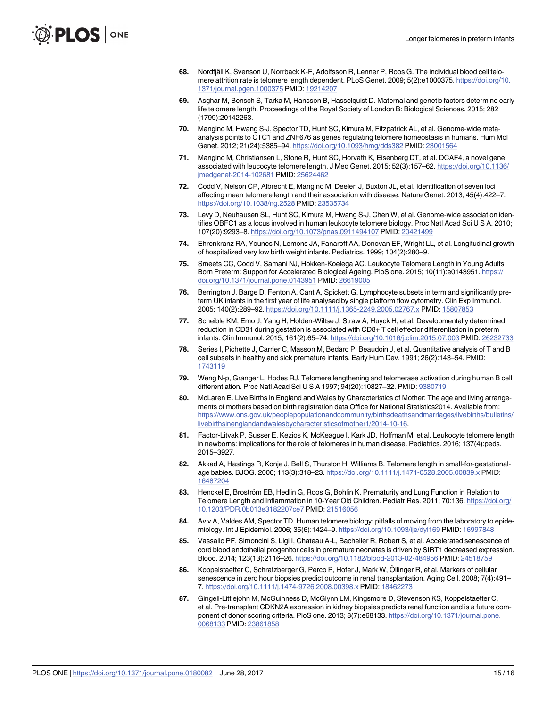- <span id="page-15-0"></span>**68.** Nordfjäll K, Svenson U, Norrback K-F, Adolfsson R, Lenner P, Roos G. The individual blood cell telomere attrition rate is telomere length dependent. PLoS Genet. 2009; 5(2):e1000375. [https://doi.org/10.](https://doi.org/10.1371/journal.pgen.1000375) [1371/journal.pgen.1000375](https://doi.org/10.1371/journal.pgen.1000375) PMID: [19214207](http://www.ncbi.nlm.nih.gov/pubmed/19214207)
- **69.** Asghar M, Bensch S, Tarka M, Hansson B, Hasselquist D. Maternal and genetic factors determine early life telomere length. Proceedings of the Royal Society of London B: Biological Sciences. 2015; 282 (1799):20142263.
- **70.** Mangino M, Hwang S-J, Spector TD, Hunt SC, Kimura M, Fitzpatrick AL, et al. Genome-wide metaanalysis points to CTC1 and ZNF676 as genes regulating telomere homeostasis in humans. Hum Mol Genet. 2012; 21(24):5385–94. <https://doi.org/10.1093/hmg/dds382> PMID: [23001564](http://www.ncbi.nlm.nih.gov/pubmed/23001564)
- **71.** Mangino M, Christiansen L, Stone R, Hunt SC, Horvath K, Eisenberg DT, et al. DCAF4, a novel gene associated with leucocyte telomere length. J Med Genet. 2015; 52(3):157–62. [https://doi.org/10.1136/](https://doi.org/10.1136/jmedgenet-2014-102681) [jmedgenet-2014-102681](https://doi.org/10.1136/jmedgenet-2014-102681) PMID: [25624462](http://www.ncbi.nlm.nih.gov/pubmed/25624462)
- **72.** Codd V, Nelson CP, Albrecht E, Mangino M, Deelen J, Buxton JL, et al. Identification of seven loci affecting mean telomere length and their association with disease. Nature Genet. 2013; 45(4):422–7. <https://doi.org/10.1038/ng.2528> PMID: [23535734](http://www.ncbi.nlm.nih.gov/pubmed/23535734)
- **[73](#page-8-0).** Levy D, Neuhausen SL, Hunt SC, Kimura M, Hwang S-J, Chen W, et al. Genome-wide association identifies OBFC1 as a locus involved in human leukocyte telomere biology. Proc Natl Acad Sci U S A. 2010; 107(20):9293–8. <https://doi.org/10.1073/pnas.0911494107> PMID: [20421499](http://www.ncbi.nlm.nih.gov/pubmed/20421499)
- **[74](#page-9-0).** Ehrenkranz RA, Younes N, Lemons JA, Fanaroff AA, Donovan EF, Wright LL, et al. Longitudinal growth of hospitalized very low birth weight infants. Pediatrics. 1999; 104(2):280–9.
- **[75](#page-9-0).** Smeets CC, Codd V, Samani NJ, Hokken-Koelega AC. Leukocyte Telomere Length in Young Adults Born Preterm: Support for Accelerated Biological Ageing. PloS one. 2015; 10(11):e0143951. [https://](https://doi.org/10.1371/journal.pone.0143951) [doi.org/10.1371/journal.pone.0143951](https://doi.org/10.1371/journal.pone.0143951) PMID: [26619005](http://www.ncbi.nlm.nih.gov/pubmed/26619005)
- **[76](#page-9-0).** Berrington J, Barge D, Fenton A, Cant A, Spickett G. Lymphocyte subsets in term and significantly preterm UK infants in the first year of life analysed by single platform flow cytometry. Clin Exp Immunol. 2005; 140(2):289–92. <https://doi.org/10.1111/j.1365-2249.2005.02767.x> PMID: [15807853](http://www.ncbi.nlm.nih.gov/pubmed/15807853)
- **77.** Scheible KM, Emo J, Yang H, Holden-Wiltse J, Straw A, Huyck H, et al. Developmentally determined reduction in CD31 during gestation is associated with CD8+ T cell effector differentiation in preterm infants. Clin Immunol. 2015; 161(2):65–74. <https://doi.org/10.1016/j.clim.2015.07.003> PMID: [26232733](http://www.ncbi.nlm.nih.gov/pubmed/26232733)
- **[78](#page-9-0).** Series I, Pichette J, Carrier C, Masson M, Bedard P, Beaudoin J, et al. Quantitative analysis of T and B cell subsets in healthy and sick premature infants. Early Hum Dev. 1991; 26(2):143–54. PMID: [1743119](http://www.ncbi.nlm.nih.gov/pubmed/1743119)
- **[79](#page-9-0).** Weng N-p, Granger L, Hodes RJ. Telomere lengthening and telomerase activation during human B cell differentiation. Proc Natl Acad Sci U S A 1997; 94(20):10827–32. PMID: [9380719](http://www.ncbi.nlm.nih.gov/pubmed/9380719)
- **[80](#page-9-0).** McLaren E. Live Births in England and Wales by Characteristics of Mother: The age and living arrangements of mothers based on birth registration data Office for National Statistics2014. Available from: [https://www.ons.gov.uk/peoplepopulationandcommunity/birthsdeathsandmarriages/livebirths/bulletins/](https://www.ons.gov.uk/peoplepopulationandcommunity/birthsdeathsandmarriages/livebirths/bulletins/livebirthsinenglandandwalesbycharacteristicsofmother1/2014-10-16) [livebirthsinenglandandwalesbycharacteristicsofmother1/2014-10-16.](https://www.ons.gov.uk/peoplepopulationandcommunity/birthsdeathsandmarriages/livebirths/bulletins/livebirthsinenglandandwalesbycharacteristicsofmother1/2014-10-16)
- **[81](#page-9-0).** Factor-Litvak P, Susser E, Kezios K, McKeague I, Kark JD, Hoffman M, et al. Leukocyte telomere length in newborns: implications for the role of telomeres in human disease. Pediatrics. 2016; 137(4):peds. 2015–3927.
- **[82](#page-9-0).** Akkad A, Hastings R, Konje J, Bell S, Thurston H, Williams B. Telomere length in small-for-gestationalage babies. BJOG. 2006; 113(3):318–23. <https://doi.org/10.1111/j.1471-0528.2005.00839.x> PMID: [16487204](http://www.ncbi.nlm.nih.gov/pubmed/16487204)
- [83](#page-9-0). Henckel E, Broström EB, Hedlin G, Roos G, Bohlin K. Prematurity and Lung Function in Relation to Telomere Length and Inflammation in 10-Year Old Children. Pediatr Res. 2011; 70:136. [https://doi.org/](https://doi.org/10.1203/PDR.0b013e3182207ce7) [10.1203/PDR.0b013e3182207ce7](https://doi.org/10.1203/PDR.0b013e3182207ce7) PMID: [21516056](http://www.ncbi.nlm.nih.gov/pubmed/21516056)
- **[84](#page-9-0).** Aviv A, Valdes AM, Spector TD. Human telomere biology: pitfalls of moving from the laboratory to epidemiology. Int J Epidemiol. 2006; 35(6):1424–9. <https://doi.org/10.1093/ije/dyl169> PMID: [16997848](http://www.ncbi.nlm.nih.gov/pubmed/16997848)
- **[85](#page-10-0).** Vassallo PF, Simoncini S, Ligi I, Chateau A-L, Bachelier R, Robert S, et al. Accelerated senescence of cord blood endothelial progenitor cells in premature neonates is driven by SIRT1 decreased expression. Blood. 2014; 123(13):2116–26. <https://doi.org/10.1182/blood-2013-02-484956> PMID: [24518759](http://www.ncbi.nlm.nih.gov/pubmed/24518759)
- **[86](#page-10-0).** Koppelstaetter C, Schratzberger G, Perco P, Hofer J, Mark W, Öllinger R, et al. Markers of cellular senescence in zero hour biopsies predict outcome in renal transplantation. Aging Cell. 2008; 7(4):491– 7. <https://doi.org/10.1111/j.1474-9726.2008.00398.x> PMID: [18462273](http://www.ncbi.nlm.nih.gov/pubmed/18462273)
- **87.** Gingell-Littlejohn M, McGuinness D, McGlynn LM, Kingsmore D, Stevenson KS, Koppelstaetter C, et al. Pre-transplant CDKN2A expression in kidney biopsies predicts renal function and is a future component of donor scoring criteria. PloS one. 2013; 8(7):e68133. [https://doi.org/10.1371/journal.pone.](https://doi.org/10.1371/journal.pone.0068133) [0068133](https://doi.org/10.1371/journal.pone.0068133) PMID: [23861858](http://www.ncbi.nlm.nih.gov/pubmed/23861858)